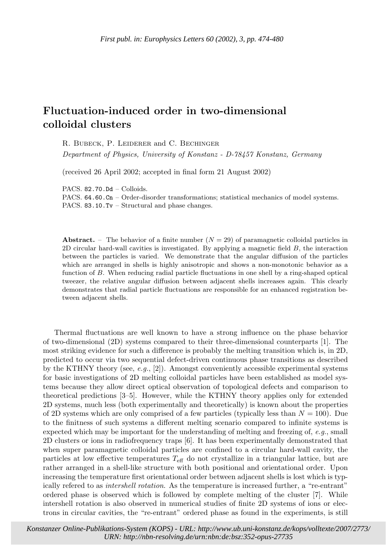## **Fluctuation-induced order in two-dimensional colloidal clusters**

R. Bubeck, P. Leiderer and C. Bechinger *Department of Physics, University of Konstanz - D-78457 Konstanz, Germany*

(received 26 April 2002; accepted in final form 21 August 2002)

PACS. 82.70.Dd – Colloids.

PACS. 64.60.Cn – Order-disorder transformations; statistical mechanics of model systems. PACS. 83.10.Tv – Structural and phase changes.

**Abstract.** – The behavior of a finite number  $(N = 29)$  of paramagnetic colloidal particles in  $2D$  circular hard-wall cavities is investigated. By applying a magnetic field  $B$ , the interaction between the particles is varied. We demonstrate that the angular diffusion of the particles which are arranged in shells is highly anisotropic and shows a non-monotonic behavior as a function of B. When reducing radial particle fluctuations in one shell by a ring-shaped optical tweezer, the relative angular diffusion between adjacent shells increases again. This clearly demonstrates that radial particle fluctuations are responsible for an enhanced registration between adjacent shells.

Thermal fluctuations are well known to have a strong influence on the phase behavior of two-dimensional  $(2D)$  systems compared to their three-dimensional counterparts [1]. The most striking evidence for such a difference is probably the melting transition which is, in 2D, predicted to occur via two sequential defect-driven continuous phase transitions as described by the KTHNY theory (see, *e.g.*, [2]). Amongst conveniently accessible experimental systems for basic investigations of 2D melting colloidal particles have been established as model systems because they allow direct optical observation of topological defects and comparison to theoretical predictions [3–5]. However, while the KTHNY theory applies only for extended 2D systems, much less (both experimentally and theoretically) is known about the properties of 2D systems which are only comprised of a few particles (typically less than  $N = 100$ ). Due to the finitness of such systems a different melting scenario compared to infinite systems is expected which may be important for the understanding of melting and freezing of, *e.g.*, small 2D clusters or ions in radiofrequency traps [6]. It has been experimentally demonstrated that when super paramagnetic colloidal particles are confined to a circular hard-wall cavity, the particles at low effective temperatures  $T_{\text{eff}}$  do not crystallize in a triangular lattice, but are rather arranged in a shell-like structure with both positional and orientational order. Upon increasing the temperature first orientational order between adjacent shells is lost which is typically refered to as *intershell rotation*. As the temperature is increased further, a "re-entrant" ordered phase is observed which is followed by complete melting of the cluster [7]. While intershell rotation is also observed in numerical studies of finite 2D systems of ions or electrons in circular cavities, the "re-entrant" ordered phase as found in the experiments, is still

c EDP Sciences *Konstanzer Online-Publikations-System (KOPS) - URL:<http://www.ub.uni-konstanz.de/kops/volltexte/2007/2773/> URN: <http://nbn-resolving.de/urn:nbn:de:bsz:352-opus-27735>*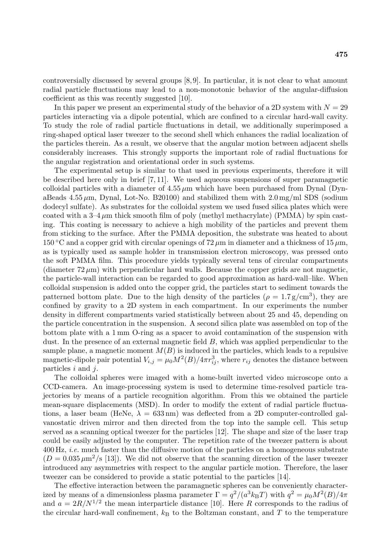controversially discussed by several groups [8, 9]. In particular, it is not clear to what amount radial particle fluctuations may lead to a non-monotonic behavior of the angular-diffusion coefficient as this was recently suggested [10].

In this paper we present an experimental study of the behavior of a 2D system with  $N = 29$ particles interacting via a dipole potential, which are confined to a circular hard-wall cavity. To study the role ofradial particle fluctuations in detail, we additionally superimposed a ring-shaped optical laser tweezer to the second shell which enhances the radial localization of the particles therein. As a result, we observe that the angular motion between adjacent shells considerably increases. This strongly supports the important role ofradial fluctuations for the angular registration and orientational order in such systems.

The experimental setup is similar to that used in previous experiments, therefore it will be described here only in brief  $[7, 11]$ . We used aqueous suspensions of super paramagnetic colloidal particles with a diameter of  $4.55 \mu m$  which have been purchased from Dynal (DynaBeads  $4.55 \mu m$ , Dynal, Lot-No. B20100) and stabilized them with  $2.0 \,\mathrm{mg/ml}$  SDS (sodium dodecyl sulfate). As substrates for the colloidal system we used fused silica plates which were coated with a  $3-4 \mu m$  thick smooth film of poly (methyl methacrylate) (PMMA) by spin casting. This coating is necessary to achieve a high mobility of the particles and prevent them from sticking to the surface. After the PMMA deposition, the substrate was heated to about  $150^{\circ}$ C and a copper grid with circular openings of  $72 \,\mu$ m in diameter and a thickness of  $15 \,\mu$ m, as is typically used as sample holder in transmission electron microscopy, was pressed onto the soft PMMA film. This procedure yields typically several tens of circular compartments (diameter  $72 \mu m$ ) with perpendicular hard walls. Because the copper grids are not magnetic, the particle-wall interaction can be regarded to good approximation as hard-wall–like. When colloidal suspension is added onto the copper grid, the particles start to sediment towards the patterned bottom plate. Due to the high density of the particles ( $\rho = 1.7 \text{ g/cm}^3$ ), they are confined by gravity to a 2D system in each compartment. In our experiments the number density in different compartments varied statistically between about 25 and 45, depending on the particle concentration in the suspension. A second silica plate was assembled on top ofthe bottom plate with a 1 mm O-ring as a spacer to avoid contamination of the suspension with dust. In the presence of an external magnetic field  $B$ , which was applied perpendicular to the sample plane, a magnetic moment  $M(B)$  is induced in the particles, which leads to a repulsive magnetic-dipole pair potential  $V_{i,j} = \mu_0 M^2(B)/4\pi r_{ij}^3$ , where  $r_{ij}$  denotes the distance between particles  $i$  and  $j$ .

The colloidal spheres were imaged with a home-built inverted video microscope onto a CCD-camera. An image-processing system is used to determine time-resolved particle trajectories by means of a particle recognition algorithm. From this we obtained the particle mean-square displacements (MSD). In order to modify the extent of radial particle fluctuations, a laser beam (HeNe,  $\lambda = 633 \,\text{nm}$ ) was deflected from a 2D computer-controlled galvanostatic driven mirror and then directed from the top into the sample cell. This setup served as a scanning optical tweezer for the particles [12]. The shape and size of the laser trap could be easily adjusted by the computer. The repetition rate of the tweezer pattern is about 400 Hz, *i.e.* much faster than the diffusive motion of the particles on a homogeneous substrate  $(D = 0.035 \,\mu\text{m}^2/\text{s}$  [13]). We did not observe that the scanning direction of the laser tweezer introduced any asymmetries with respect to the angular particle motion. Therefore, the laser tweezer can be considered to provide a static potential to the particles [14].

The effective interaction between the paramagnetic spheres can be conveniently characterized by means of a dimensionless plasma parameter  $\Gamma = q^2/(a^3 k_B T)$  with  $q^2 = \mu_0 M^2(B)/4\pi$ and  $a = 2R/N^{1/2}$  the mean interparticle distance [10]. Here R corresponds to the radius of the circular hard-wall confinement,  $k_B$  to the Boltzman constant, and T to the temperature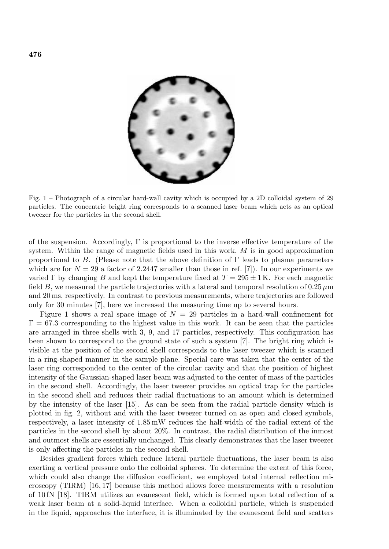

Fig. 1 – Photograph of a circular hard-wall cavity which is occupied by a 2D colloidal system of 29 particles. The concentric bright ring corresponds to a scanned laser beam which acts as an optical tweezer for the particles in the second shell.

of the suspension. Accordingly,  $\Gamma$  is proportional to the inverse effective temperature of the system. Within the range of magnetic fields used in this work,  $M$  is in good approximation proportional to B. (Please note that the above definition of  $\Gamma$  leads to plasma parameters which are for  $N = 29$  a factor of 2.2447 smaller than those in ref. [7]). In our experiments we varied  $\Gamma$  by changing B and kept the temperature fixed at  $T = 295 \pm 1$  K. For each magnetic field B, we measured the particle trajectories with a lateral and temporal resolution of  $0.25 \,\mu m$ and 20 ms, respectively. In contrast to previous measurements, where trajectories are followed only for 30 minutes [7], here we increased the measuring time up to several hours.

Figure 1 shows a real space image of  $N = 29$  particles in a hard-wall confinement for  $\Gamma = 67.3$  corresponding to the highest value in this work. It can be seen that the particles are arranged in three shells with 3, 9, and 17 particles, respectively. This configuration has been shown to correspond to the ground state of such a system [7]. The bright ring which is visible at the position of the second shell corresponds to the laser tweezer which is scanned in a ring-shaped manner in the sample plane. Special care was taken that the center ofthe laser ring corresponded to the center of the circular cavity and that the position of highest intensity of the Gaussian-shaped laser beam was adjusted to the center of mass of the particles in the second shell. Accordingly, the laser tweezer provides an optical trap for the particles in the second shell and reduces their radial fluctuations to an amount which is determined by the intensity of the laser  $[15]$ . As can be seen from the radial particle density which is plotted in fig. 2, without and with the laser tweezer turned on as open and closed symbols, respectively, a laser intensity of  $1.85 \text{ mW}$  reduces the half-width of the radial extent of the particles in the second shell by about  $20\%$ . In contrast, the radial distribution of the inmost and outmost shells are essentially unchanged. This clearly demonstrates that the laser tweezer is only affecting the particles in the second shell.

Besides gradient forces which reduce lateral particle fluctuations, the laser beam is also exerting a vertical pressure onto the colloidal spheres. To determine the extent of this force, which could also change the diffusion coefficient, we employed total internal reflection microscopy (TIRM) [16, 17] because this method allows force measurements with a resolution of 10 fN [18]. TIRM utilizes an evanescent field, which is formed upon total reflection of a weak laser beam at a solid-liquid interface. When a colloidal particle, which is suspended in the liquid, approaches the interface, it is illuminated by the evanescent field and scatters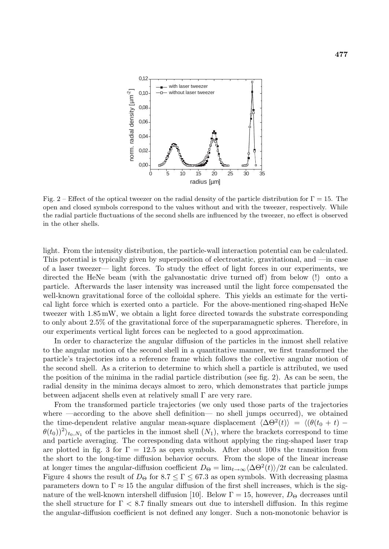

Fig. 2 – Effect of the optical tweezer on the radial density of the particle distribution for  $\Gamma = 15$ . The open and closed symbols correspond to the values without and with the tweezer, respectively. While the radial particle fluctuations of the second shells are influenced by the tweezer, no effect is observed in the other shells.

light. From the intensity distribution, the particle-wall interaction potential can be calculated. This potential is typically given by superposition of electrostatic, gravitational, and  $\equiv$  in case of a laser tweezer— light forces. To study the effect of light forces in our experiments, we directed the HeNe beam (with the galvanostatic drive turned off) from below (!) onto a particle. Afterwards the laser intensity was increased until the light force compensated the well-known gravitational force of the colloidal sphere. This yields an estimate for the vertical light force which is exerted onto a particle. For the above-mentioned ring-shaped HeNe tweezer with 1.85 mW, we obtain a light force directed towards the substrate corresponding to only about 2.5% of the gravitational force of the superparamagnetic spheres. Therefore, in our experiments vertical light forces can be neglected to a good approximation.

In order to characterize the angular diffusion of the particles in the inmost shell relative to the angular motion of the second shell in a quantitative manner, we first transformed the particle's trajectories into a reference frame which follows the collective angular motion of the second shell. As a criterion to determine to which shell a particle is attributed, we used the position of the minima in the radial particle distribution (see fig. 2). As can be seen, the radial density in the minima decays almost to zero, which demonstrates that particle jumps between adjacent shells even at relatively small Γ are very rare.

From the transformed particle trajectories (we only used those parts of the trajectories where —according to the above shell definition— no shell jumps occurred), we obtained the time-dependent relative angular mean-square displacement  $\langle \Delta \Theta^2(t) \rangle = \langle (\theta(t_0 + t) - \theta(t_0)) \rangle$  $(\theta(t_0))^2$ <sub>to,N<sub>1</sub></sub> of the particles in the inmost shell  $(N_1)$ , where the brackets correspond to time and particle averaging. The corresponding data without applying the ring-shaped laser trap are plotted in fig. 3 for  $\Gamma = 12.5$  as open symbols. After about 100s the transition from the short to the long-time diffusion behavior occurs. From the slope of the linear increase at longer times the angular-diffusion coefficient  $D_{\Theta} = \lim_{t \to \infty} \langle \Delta \Theta^2(t) \rangle / 2t$  can be calculated. Figure 4 shows the result of  $D_{\Theta}$  for  $8.7 \leq \Gamma \leq 67.3$  as open symbols. With decreasing plasma parameters down to  $\Gamma \approx 15$  the angular diffusion of the first shell increases, which is the signature of the well-known intershell diffusion [10]. Below  $\Gamma = 15$ , however,  $D_{\Theta}$  decreases until the shell structure for  $\Gamma < 8.7$  finally smears out due to intershell diffusion. In this regime the angular-diffusion coefficient is not defined any longer. Such a non-monotonic behavior is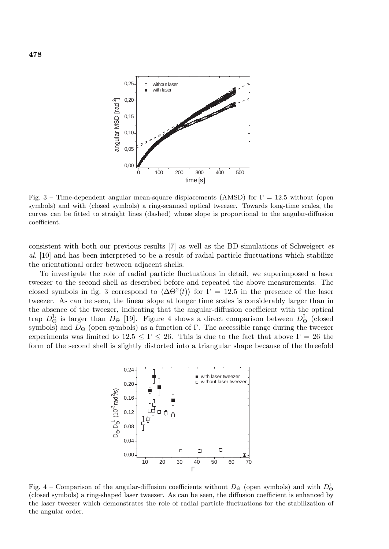

Fig. 3 – Time-dependent angular mean-square displacements (AMSD) for  $\Gamma = 12.5$  without (open symbols) and with (closed symbols) a ring-scanned optical tweezer. Towards long-time scales, the curves can be fitted to straight lines (dashed) whose slope is proportional to the angular-diffusion coefficient.

consistent with both our previous results [7] as well as the BD-simulations of Schweigert *et al.* [10] and has been interpreted to be a result ofradial particle fluctuations which stabilize the orientational order between adjacent shells.

To investigate the role ofradial particle fluctuations in detail, we superimposed a laser tweezer to the second shell as described before and repeated the above measurements. The closed symbols in fig. 3 correspond to  $\langle \Delta \Theta^2(t) \rangle$  for  $\Gamma = 12.5$  in the presence of the laser tweezer. As can be seen, the linear slope at longer time scales is considerably larger than in the absence of the tweezer, indicating that the angular-diffusion coefficient with the optical trap  $D_{\Theta}^{\text{L}}$  is larger than  $D_{\Theta}$  [19]. Figure 4 shows a direct comparison between  $D_{\Theta}^{\text{L}}$  (closed symbols) and  $D_{\Theta}$  (open symbols) as a function of Γ. The accessible range during the tweezer experiments was limited to  $12.5 \leq \Gamma \leq 26$ . This is due to the fact that above  $\Gamma = 26$  the form of the second shell is slightly distorted into a triangular shape because of the threefold



Fig. 4 – Comparison of the angular-diffusion coefficients without  $D_{\Theta}$  (open symbols) and with  $D_{\Theta}^{\rm L}$ (closed symbols) a ring-shaped laser tweezer. As can be seen, the diffusion coefficient is enhanced by the laser tweezer which demonstrates the role of radial particle fluctuations for the stabilization of the angular order.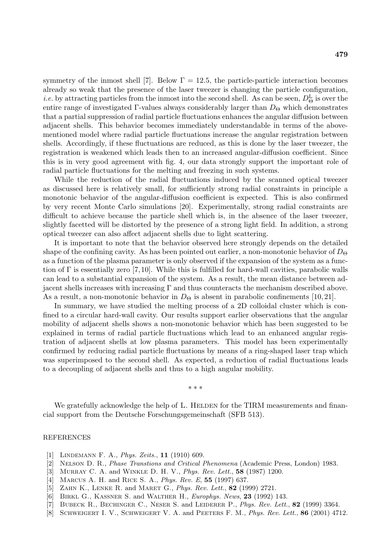symmetry of the inmost shell [7]. Below  $\Gamma = 12.5$ , the particle-particle interaction becomes already so weak that the presence of the laser tweezer is changing the particle configuration, *i.e.* by attracting particles from the inmost into the second shell. As can be seen,  $D_{\Theta}^{\rm L}$  is over the entire range of investigated Evalues always considerably larger than  $D_{\Theta}$  which demonstrates entire range of investigated Γ-values always considerably larger than  $D_{\Theta}$  which demonstrates that a partial suppression ofradial particle fluctuations enhances the angular diffusion between adjacent shells. This behavior becomes immediately understandable in terms of the abovementioned model where radial particle fluctuations increase the angular registration between shells. Accordingly, ifthese fluctuations are reduced, as this is done by the laser tweezer, the registration is weakened which leads then to an increased angular-diffusion coefficient. Since this is in very good agreement with fig. 4, our data strongly support the important role of radial particle fluctuations for the melting and freezing in such systems.

While the reduction of the radial fluctuations induced by the scanned optical tweezer as discussed here is relatively small, for sufficiently strong radial constraints in principle a monotonic behavior of the angular-diffusion coefficient is expected. This is also confirmed by very recent Monte Carlo simulations [20]. Experimentally, strong radial constraints are difficult to achieve because the particle shell which is, in the absence of the laser tweezer, slightly facetted will be distorted by the presence of a strong light field. In addition, a strong optical tweezer can also affect adjacent shells due to light scattering.

It is important to note that the behavior observed here strongly depends on the detailed shape of the confining cavity. As has been pointed out earlier, a non-monotonic behavior of  $D_{\Theta}$ as a function of the plasma parameter is only observed if the expansion of the system as a function of  $\Gamma$  is essentially zero [7,10]. While this is fulfilled for hard-wall cavities, parabolic walls can lead to a substantial expansion of the system. As a result, the mean distance between adjacent shells increases with increasing  $\Gamma$  and thus counteracts the mechanism described above. As a result, a non-monotonic behavior in  $D_{\Theta}$  is absent in parabolic confinements [10, 21].

In summary, we have studied the melting process of a 2D colloidal cluster which is confined to a circular hard-wall cavity. Our results support earlier observations that the angular mobility of adjacent shells shows a non-monotonic behavior which has been suggested to be explained in terms of radial particle fluctuations which lead to an enhanced angular registration of adjacent shells at low plasma parameters. This model has been experimentally confirmed by reducing radial particle fluctuations by means of a ring-shaped laser trap which was superimposed to the second shell. As expected, a reduction of radial fluctuations leads to a decoupling of adjacent shells and thus to a high angular mobility.

∗∗∗

We gratefully acknowledge the help of L. HELDEN for the TIRM measurements and financial support from the Deutsche Forschungsgemeinschaft (SFB 513).

## REFERENCES

- [1] Lindemann F. A., Phys. Zeits., **11** (1910) 609.
- [2] Nelson D. R., Phase Transtions and Critical Phenomena (Academic Press, London) 1983.
- [3] Murray C. A. and Winkle D. H. V., Phys. Rev. Lett., **58** (1987) 1200.
- [4] Marcus A. H. and Rice S. A., Phys. Rev. E, **55** (1997) 637.
- [5] Zahn K., Lenke R. and Maret G., Phys. Rev. Lett., **82** (1999) 2721.
- [6] Birkl G., Kassner S. and Walther H., Europhys. News, **23** (1992) 143.
- [7] Bubeck R., Bechinger C., Neser S. and Leiderer P., Phys. Rev. Lett., **82** (1999) 3364.
- [8] Schweigert I. V., Schweigert V. A. and Peeters F. M., Phys. Rev. Lett., **86** (2001) 4712.